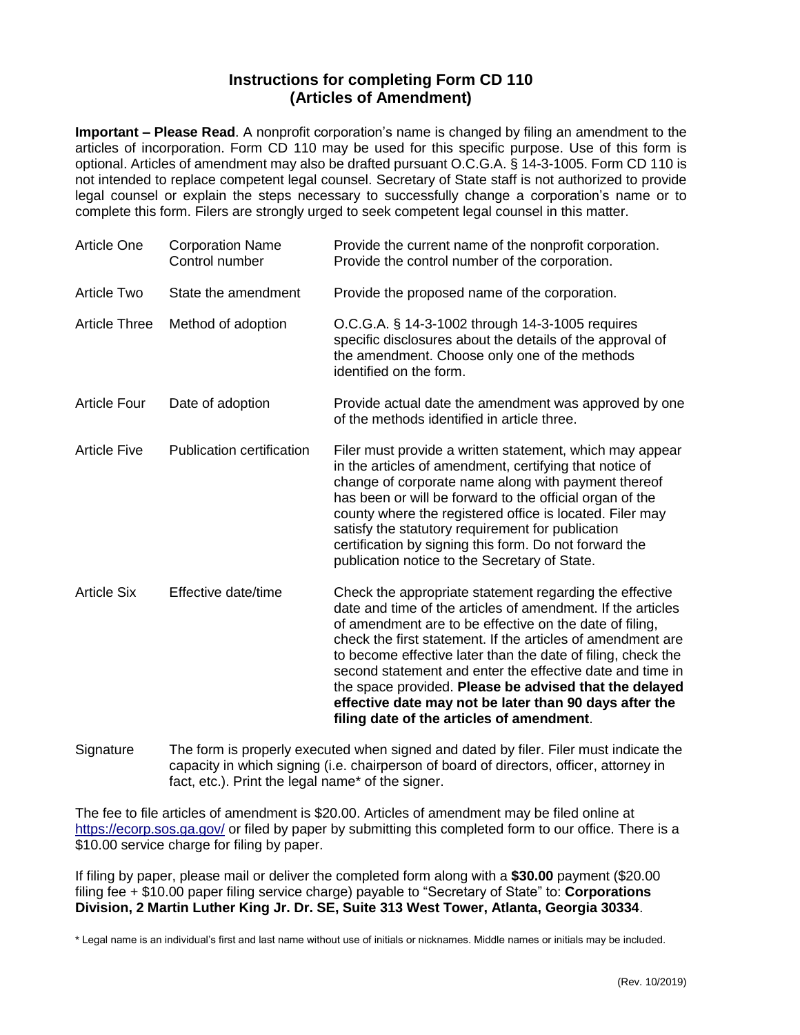### **Instructions for completing Form CD 110 (Articles of Amendment)**

**Important – Please Read**. A nonprofit corporation's name is changed by filing an amendment to the articles of incorporation. Form CD 110 may be used for this specific purpose. Use of this form is optional. Articles of amendment may also be drafted pursuant O.C.G.A. [§](http://www.sos.state.ga.us/cgi-bin/external.asp?link=www.legis.state.ga.us/cgi-bin/gl_codes_detail.pl?code=14-2-1006) 14-3-1005. Form CD 110 is not intended to replace competent legal counsel. Secretary of State staff is not authorized to provide legal counsel or explain the steps necessary to successfully change a corporation's name or to complete this form. Filers are strongly urged to seek competent legal counsel in this matter.

| <b>Article One</b>   | <b>Corporation Name</b><br>Control number | Provide the current name of the nonprofit corporation.<br>Provide the control number of the corporation.                                                                                                                                                                                                                                                                                                                                                                                                                                       |
|----------------------|-------------------------------------------|------------------------------------------------------------------------------------------------------------------------------------------------------------------------------------------------------------------------------------------------------------------------------------------------------------------------------------------------------------------------------------------------------------------------------------------------------------------------------------------------------------------------------------------------|
| <b>Article Two</b>   | State the amendment                       | Provide the proposed name of the corporation.                                                                                                                                                                                                                                                                                                                                                                                                                                                                                                  |
| <b>Article Three</b> | Method of adoption                        | O.C.G.A. § 14-3-1002 through 14-3-1005 requires<br>specific disclosures about the details of the approval of<br>the amendment. Choose only one of the methods<br>identified on the form.                                                                                                                                                                                                                                                                                                                                                       |
| <b>Article Four</b>  | Date of adoption                          | Provide actual date the amendment was approved by one<br>of the methods identified in article three.                                                                                                                                                                                                                                                                                                                                                                                                                                           |
| <b>Article Five</b>  | <b>Publication certification</b>          | Filer must provide a written statement, which may appear<br>in the articles of amendment, certifying that notice of<br>change of corporate name along with payment thereof<br>has been or will be forward to the official organ of the<br>county where the registered office is located. Filer may<br>satisfy the statutory requirement for publication<br>certification by signing this form. Do not forward the<br>publication notice to the Secretary of State.                                                                             |
| <b>Article Six</b>   | Effective date/time                       | Check the appropriate statement regarding the effective<br>date and time of the articles of amendment. If the articles<br>of amendment are to be effective on the date of filing,<br>check the first statement. If the articles of amendment are<br>to become effective later than the date of filing, check the<br>second statement and enter the effective date and time in<br>the space provided. Please be advised that the delayed<br>effective date may not be later than 90 days after the<br>filing date of the articles of amendment. |

Signature The form is properly executed when signed and dated by filer. Filer must indicate the capacity in which signing (i.e. chairperson of board of directors, officer, attorney in fact, etc.). Print the legal name\* of the signer.

The fee to file articles of amendment is \$20.00. Articles of amendment may be filed online at <https://ecorp.sos.ga.gov/> or filed by paper by submitting this completed form to our office. There is a \$10.00 service charge for filing by paper.

If filing by paper, please mail or deliver the completed form along with a **\$30.00** payment (\$20.00 filing fee + \$10.00 paper filing service charge) payable to "Secretary of State" to: **Corporations Division, 2 Martin Luther King Jr. Dr. SE, Suite 313 West Tower, Atlanta, Georgia 30334**.

\* Legal name is an individual's first and last name without use of initials or nicknames. Middle names or initials may be included.